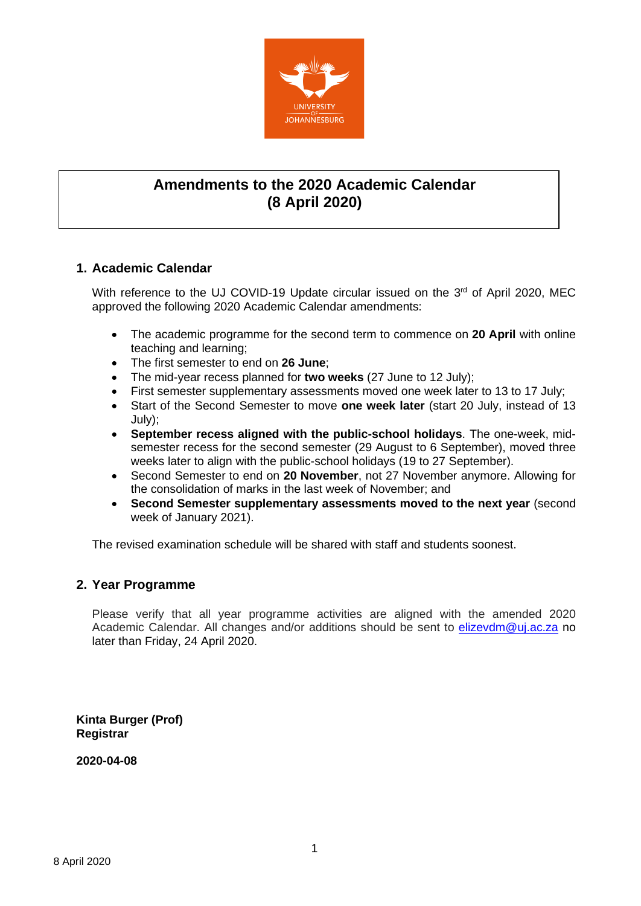

# **Amendments to the 2020 Academic Calendar (8 April 2020)**

## **1. Academic Calendar**

With reference to the UJ COVID-19 Update circular issued on the 3<sup>rd</sup> of April 2020, MEC approved the following 2020 Academic Calendar amendments:

- The academic programme for the second term to commence on **20 April** with online teaching and learning;
- The first semester to end on **26 June**;
- The mid-year recess planned for **two weeks** (27 June to 12 July);
- First semester supplementary assessments moved one week later to 13 to 17 July;
- Start of the Second Semester to move **one week later** (start 20 July, instead of 13 July);
- **September recess aligned with the public-school holidays**. The one-week, midsemester recess for the second semester (29 August to 6 September), moved three weeks later to align with the public-school holidays (19 to 27 September).
- Second Semester to end on **20 November**, not 27 November anymore. Allowing for the consolidation of marks in the last week of November; and
- **Second Semester supplementary assessments moved to the next year** (second week of January 2021).

The revised examination schedule will be shared with staff and students soonest.

### **2. Year Programme**

Please verify that all year programme activities are aligned with the amended 2020 Academic Calendar. All changes and/or additions should be sent to [elizevdm@uj.ac.za](mailto:elizevdm@uj.ac.za) no later than Friday, 24 April 2020.

**Kinta Burger (Prof) Registrar**

**2020-04-08**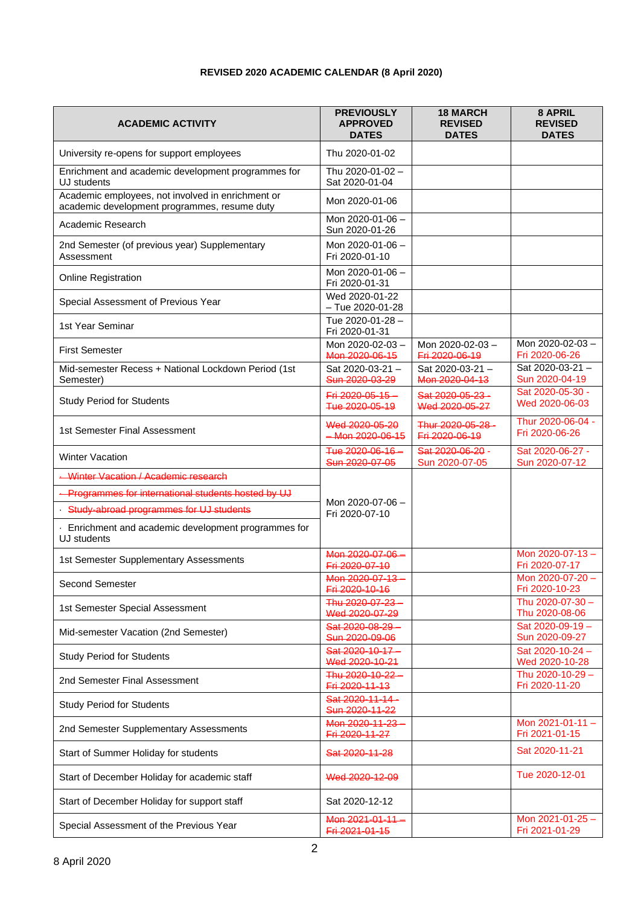## **REVISED 2020 ACADEMIC CALENDAR (8 April 2020)**

| <b>ACADEMIC ACTIVITY</b>                                                                          | <b>PREVIOUSLY</b><br><b>APPROVED</b><br><b>DATES</b> | <b>18 MARCH</b><br><b>REVISED</b><br><b>DATES</b> | 8 APRIL<br><b>REVISED</b><br><b>DATES</b> |
|---------------------------------------------------------------------------------------------------|------------------------------------------------------|---------------------------------------------------|-------------------------------------------|
| University re-opens for support employees                                                         | Thu 2020-01-02                                       |                                                   |                                           |
| Enrichment and academic development programmes for<br>UJ students                                 | Thu 2020-01-02 -<br>Sat 2020-01-04                   |                                                   |                                           |
| Academic employees, not involved in enrichment or<br>academic development programmes, resume duty | Mon 2020-01-06                                       |                                                   |                                           |
| Academic Research                                                                                 | Mon 2020-01-06 -<br>Sun 2020-01-26                   |                                                   |                                           |
| 2nd Semester (of previous year) Supplementary<br>Assessment                                       | Mon 2020-01-06 -<br>Fri 2020-01-10                   |                                                   |                                           |
| <b>Online Registration</b>                                                                        | Mon 2020-01-06 -<br>Fri 2020-01-31                   |                                                   |                                           |
| Special Assessment of Previous Year                                                               | Wed 2020-01-22<br>$-$ Tue 2020-01-28                 |                                                   |                                           |
| 1st Year Seminar                                                                                  | Tue 2020-01-28-<br>Fri 2020-01-31                    |                                                   |                                           |
| <b>First Semester</b>                                                                             | Mon 2020-02-03-<br>Mon 2020-06-15                    | Mon 2020-02-03-<br>Fri 2020-06-19                 | Mon 2020-02-03-<br>Fri 2020-06-26         |
| Mid-semester Recess + National Lockdown Period (1st<br>Semester)                                  | Sat 2020-03-21-<br>Sun 2020-03-29                    | Sat 2020-03-21-<br>Mon 2020-04-13                 | Sat 2020-03-21-<br>Sun 2020-04-19         |
| <b>Study Period for Students</b>                                                                  | Fri 2020-05-15-<br>Tue 2020-05-19                    | Sat 2020-05-23-<br>Wed 2020-05-27                 | Sat 2020-05-30 -<br>Wed 2020-06-03        |
| 1st Semester Final Assessment                                                                     | Wed 2020-05-20<br>$-Mon 2020-06-15$                  | Thur 2020-05-28-<br>Fri 2020-06-19                | Thur 2020-06-04 -<br>Fri 2020-06-26       |
| <b>Winter Vacation</b>                                                                            | Tue 2020-06-16<br>Sun 2020-07-05                     | Sat 2020-06-20 -<br>Sun 2020-07-05                | Sat 2020-06-27 -<br>Sun 2020-07-12        |
| Winter Vacation / Academic research                                                               |                                                      |                                                   |                                           |
| Programmes for international students hosted by UJ                                                |                                                      |                                                   |                                           |
| · Study-abroad programmes for UJ students                                                         | Mon 2020-07-06 -<br>Fri 2020-07-10                   |                                                   |                                           |
| Enrichment and academic development programmes for<br>UJ students                                 |                                                      |                                                   |                                           |
| 1st Semester Supplementary Assessments                                                            | Mon 2020-07-06-<br>Fri 2020-07-10                    |                                                   | Mon 2020-07-13-<br>Fri 2020-07-17         |
| <b>Second Semester</b>                                                                            | Mon 2020-07-13-<br><del>Fri 2020-10-16</del>         |                                                   | Mon 2020-07-20 -<br>Fri 2020-10-23        |
| 1st Semester Special Assessment                                                                   | Thu 2020-07-23-<br>Wed 2020-07-29                    |                                                   | Thu 2020-07-30 -<br>Thu 2020-08-06        |
| Mid-semester Vacation (2nd Semester)                                                              | Sat 2020-08-29<br>Sun 2020-09-06                     |                                                   | Sat 2020-09-19-<br>Sun 2020-09-27         |
| <b>Study Period for Students</b>                                                                  | Sat 2020-10-17-<br>Wed 2020-10-21                    |                                                   | Sat 2020-10-24-<br>Wed 2020-10-28         |
| 2nd Semester Final Assessment                                                                     | Thu 2020-10-22-<br>Fri 2020-11-13                    |                                                   | Thu 2020-10-29 -<br>Fri 2020-11-20        |
| <b>Study Period for Students</b>                                                                  | Sat 2020-11-14-<br>Sun 2020-11-22                    |                                                   |                                           |
| 2nd Semester Supplementary Assessments                                                            | Mon 2020-11-23<br>Fri 2020-11-27                     |                                                   | Mon 2021-01-11-<br>Fri 2021-01-15         |
| Start of Summer Holiday for students                                                              | Sat 2020-11-28                                       |                                                   | Sat 2020-11-21                            |
| Start of December Holiday for academic staff                                                      | Wed 2020-12-09                                       |                                                   | Tue 2020-12-01                            |
| Start of December Holiday for support staff                                                       | Sat 2020-12-12                                       |                                                   |                                           |
| Special Assessment of the Previous Year                                                           | Mon 2021-01-11<br>Fri 2021-01-15                     |                                                   | Mon 2021-01-25-<br>Fri 2021-01-29         |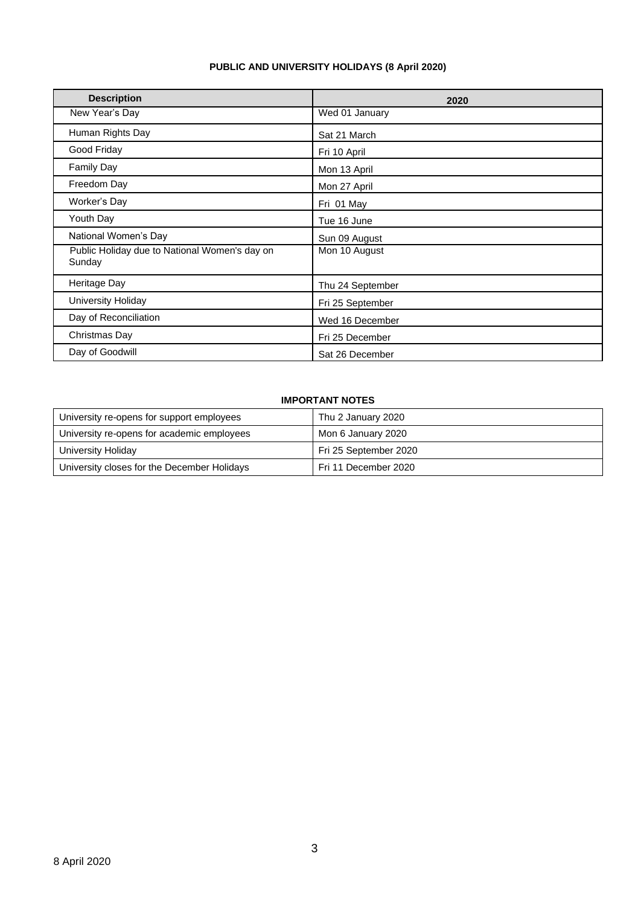### **PUBLIC AND UNIVERSITY HOLIDAYS (8 April 2020)**

| <b>Description</b>                                      | 2020             |
|---------------------------------------------------------|------------------|
| New Year's Day                                          | Wed 01 January   |
| Human Rights Day                                        | Sat 21 March     |
| Good Friday                                             | Fri 10 April     |
| <b>Family Day</b>                                       | Mon 13 April     |
| Freedom Day                                             | Mon 27 April     |
| Worker's Day                                            | Fri 01 May       |
| Youth Day                                               | Tue 16 June      |
| National Women's Day                                    | Sun 09 August    |
| Public Holiday due to National Women's day on<br>Sunday | Mon 10 August    |
| Heritage Day                                            | Thu 24 September |
| <b>University Holiday</b>                               | Fri 25 September |
| Day of Reconciliation                                   | Wed 16 December  |
| Christmas Day                                           | Fri 25 December  |
| Day of Goodwill                                         | Sat 26 December  |

### **IMPORTANT NOTES**

| University re-opens for support employees   | Thu 2 January 2020    |
|---------------------------------------------|-----------------------|
| University re-opens for academic employees  | Mon 6 January 2020    |
| University Holiday                          | Fri 25 September 2020 |
| University closes for the December Holidays | Fri 11 December 2020  |